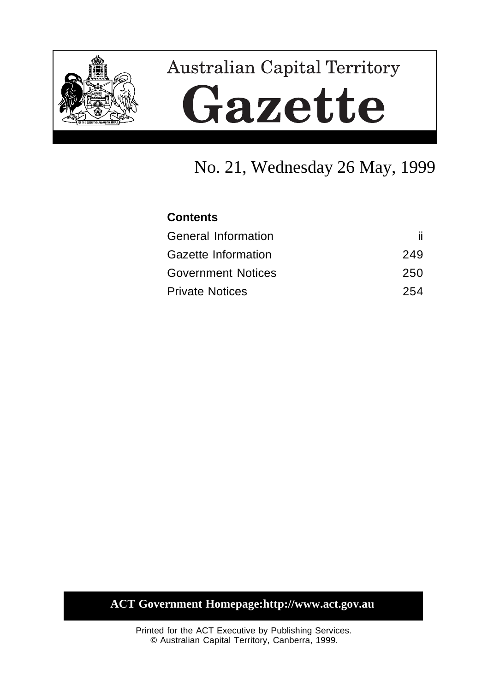

# **Australian Capital Territory** Gazette

# No. 21, Wednesday 26 May, 1999

## **Contents**

| <b>General Information</b> |     |
|----------------------------|-----|
| Gazette Information        | 249 |
| <b>Government Notices</b>  | 250 |
| <b>Private Notices</b>     | 254 |

# **ACT Government Homepage:http://www.act.gov.au**

Printed for the ACT Executive by Publishing Services. © Australian Capital Territory, Canberra, 1999.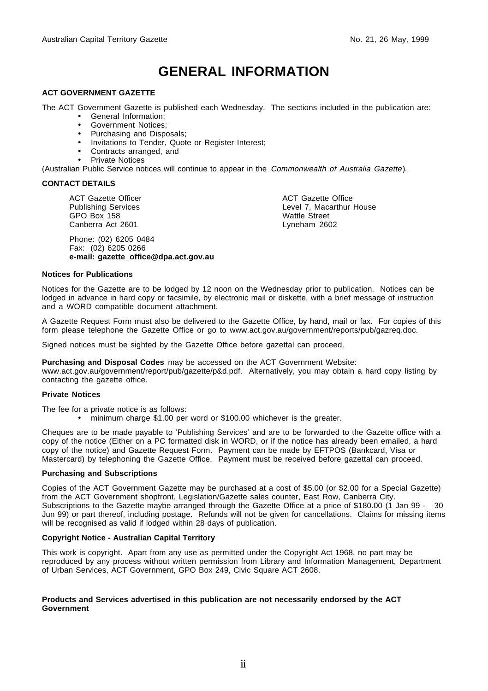# **GENERAL INFORMATION**

#### **ACT GOVERNMENT GAZETTE**

The ACT Government Gazette is published each Wednesday. The sections included in the publication are:

- General Information;
- Government Notices;
- Purchasing and Disposals;
- Invitations to Tender, Quote or Register Interest;
- Contracts arranged, and
- Private Notices

(Australian Public Service notices will continue to appear in the Commonwealth of Australia Gazette).

#### **CONTACT DETAILS**

ACT Gazette Officer Publishing Services GPO Box 158 Canberra Act 2601

Phone: (02) 6205 0484 Fax: (02) 6205 0266 **e-mail: gazette\_office@dpa.act.gov.au** ACT Gazette Office Level 7, Macarthur House Wattle Street Lyneham 2602

#### **Notices for Publications**

Notices for the Gazette are to be lodged by 12 noon on the Wednesday prior to publication. Notices can be lodged in advance in hard copy or facsimile, by electronic mail or diskette, with a brief message of instruction and a WORD compatible document attachment.

A Gazette Request Form must also be delivered to the Gazette Office, by hand, mail or fax. For copies of this form please telephone the Gazette Office or go to www.act.gov.au/government/reports/pub/gazreq.doc.

Signed notices must be sighted by the Gazette Office before gazettal can proceed.

**Purchasing and Disposal Codes** may be accessed on the ACT Government Website:

www.act.gov.au/government/report/pub/gazette/p&d.pdf. Alternatively, you may obtain a hard copy listing by contacting the gazette office.

#### **Private Notices**

The fee for a private notice is as follows:

• minimum charge \$1.00 per word or \$100.00 whichever is the greater.

Cheques are to be made payable to 'Publishing Services' and are to be forwarded to the Gazette office with a copy of the notice (Either on a PC formatted disk in WORD, or if the notice has already been emailed, a hard copy of the notice) and Gazette Request Form. Payment can be made by EFTPOS (Bankcard, Visa or Mastercard) by telephoning the Gazette Office. Payment must be received before gazettal can proceed.

#### **Purchasing and Subscriptions**

Copies of the ACT Government Gazette may be purchased at a cost of \$5.00 (or \$2.00 for a Special Gazette) from the ACT Government shopfront, Legislation/Gazette sales counter, East Row, Canberra City. Subscriptions to the Gazette maybe arranged through the Gazette Office at a price of \$180.00 (1 Jan 99 - 30 Jun 99) or part thereof, including postage. Refunds will not be given for cancellations. Claims for missing items will be recognised as valid if lodged within 28 days of publication.

#### **Copyright Notice - Australian Capital Territory**

This work is copyright. Apart from any use as permitted under the Copyright Act 1968, no part may be reproduced by any process without written permission from Library and Information Management, Department of Urban Services, ACT Government, GPO Box 249, Civic Square ACT 2608.

#### **Products and Services advertised in this publication are not necessarily endorsed by the ACT Government**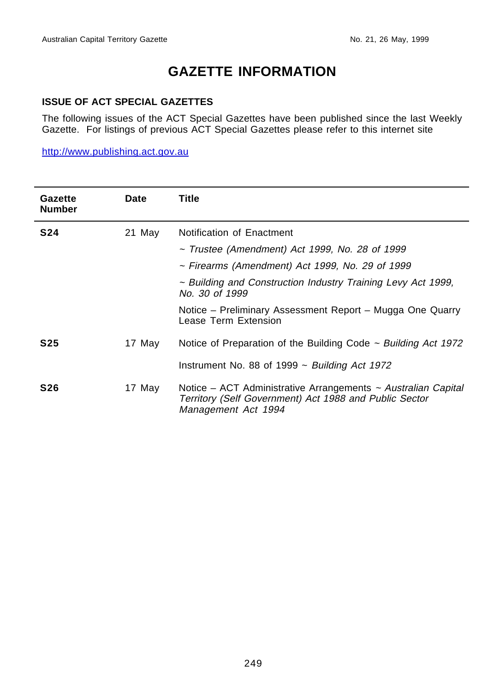# **GAZETTE INFORMATION**

#### **ISSUE OF ACT SPECIAL GAZETTES**

The following issues of the ACT Special Gazettes have been published since the last Weekly Gazette. For listings of previous ACT Special Gazettes please refer to this internet site

http://www.publishing.act.gov.au

| Gazette<br><b>Number</b> | <b>Date</b> | Title                                                                                                                                          |
|--------------------------|-------------|------------------------------------------------------------------------------------------------------------------------------------------------|
| <b>S24</b>               | 21 May      | Notification of Enactment                                                                                                                      |
|                          |             | $\sim$ Trustee (Amendment) Act 1999, No. 28 of 1999                                                                                            |
|                          |             | $\sim$ Firearms (Amendment) Act 1999, No. 29 of 1999                                                                                           |
|                          |             | ~ Building and Construction Industry Training Levy Act 1999.<br>No. 30 of 1999                                                                 |
|                          |             | Notice – Preliminary Assessment Report – Mugga One Quarry<br>Lease Term Extension                                                              |
| S25                      | 17 May      | Notice of Preparation of the Building Code $\sim$ Building Act 1972                                                                            |
|                          |             | Instrument No. 88 of 1999 $\sim$ Building Act 1972                                                                                             |
| <b>S26</b>               | 17 May      | Notice – ACT Administrative Arrangements ~ Australian Capital<br>Territory (Self Government) Act 1988 and Public Sector<br>Management Act 1994 |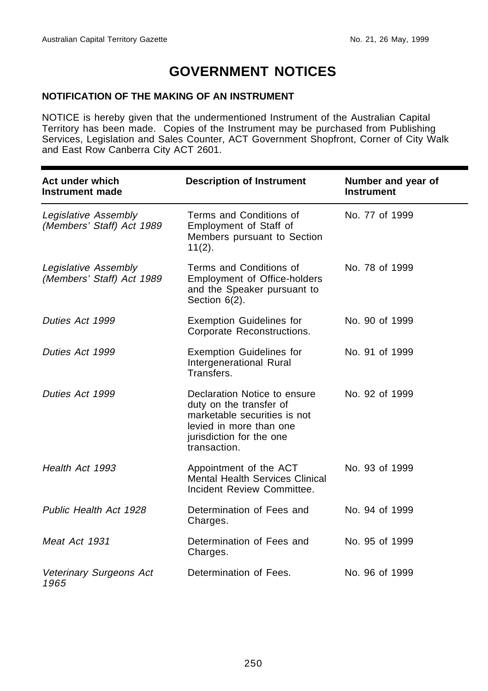# **GOVERNMENT NOTICES**

### **NOTIFICATION OF THE MAKING OF AN INSTRUMENT**

NOTICE is hereby given that the undermentioned Instrument of the Australian Capital Territory has been made. Copies of the Instrument may be purchased from Publishing Services, Legislation and Sales Counter, ACT Government Shopfront, Corner of City Walk and East Row Canberra City ACT 2601.

| Act under which<br>Instrument made                | <b>Description of Instrument</b>                                                                                                                               | Number and year of<br><b>Instrument</b> |
|---------------------------------------------------|----------------------------------------------------------------------------------------------------------------------------------------------------------------|-----------------------------------------|
| Legislative Assembly<br>(Members' Staff) Act 1989 | Terms and Conditions of<br>Employment of Staff of<br>Members pursuant to Section<br>$11(2)$ .                                                                  | No. 77 of 1999                          |
| Legislative Assembly<br>(Members' Staff) Act 1989 | Terms and Conditions of<br>Employment of Office-holders<br>and the Speaker pursuant to<br>Section 6(2).                                                        | No. 78 of 1999                          |
| Duties Act 1999                                   | <b>Exemption Guidelines for</b><br>Corporate Reconstructions.                                                                                                  | No. 90 of 1999                          |
| Duties Act 1999                                   | <b>Exemption Guidelines for</b><br>Intergenerational Rural<br>Transfers.                                                                                       | No. 91 of 1999                          |
| Duties Act 1999                                   | Declaration Notice to ensure<br>duty on the transfer of<br>marketable securities is not<br>levied in more than one<br>jurisdiction for the one<br>transaction. | No. 92 of 1999                          |
| Health Act 1993                                   | Appointment of the ACT<br><b>Mental Health Services Clinical</b><br>Incident Review Committee.                                                                 | No. 93 of 1999                          |
| Public Health Act 1928                            | Determination of Fees and<br>Charges.                                                                                                                          | No. 94 of 1999                          |
| Meat Act 1931                                     | Determination of Fees and<br>Charges.                                                                                                                          | No. 95 of 1999                          |
| Veterinary Surgeons Act<br>1965                   | Determination of Fees.                                                                                                                                         | No. 96 of 1999                          |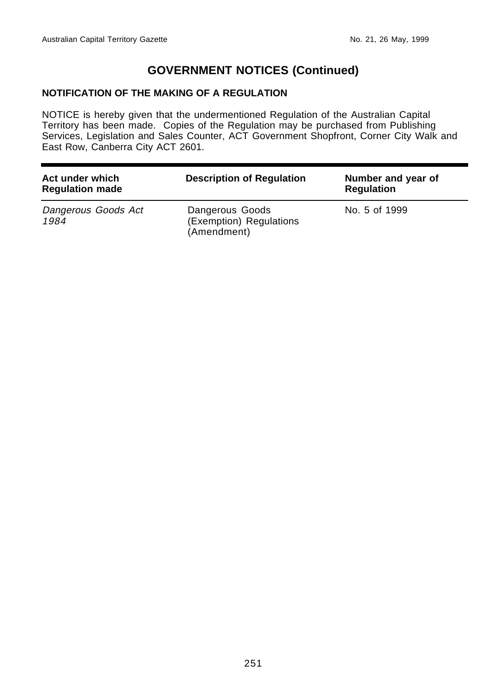## **GOVERNMENT NOTICES (Continued)**

### **NOTIFICATION OF THE MAKING OF A REGULATION**

NOTICE is hereby given that the undermentioned Regulation of the Australian Capital Territory has been made. Copies of the Regulation may be purchased from Publishing Services, Legislation and Sales Counter, ACT Government Shopfront, Corner City Walk and East Row, Canberra City ACT 2601.

| Act under which<br><b>Regulation made</b> | <b>Description of Regulation</b>                          | Number and year of<br><b>Regulation</b> |
|-------------------------------------------|-----------------------------------------------------------|-----------------------------------------|
| Dangerous Goods Act<br>1984               | Dangerous Goods<br>(Exemption) Regulations<br>(Amendment) | No. 5 of 1999                           |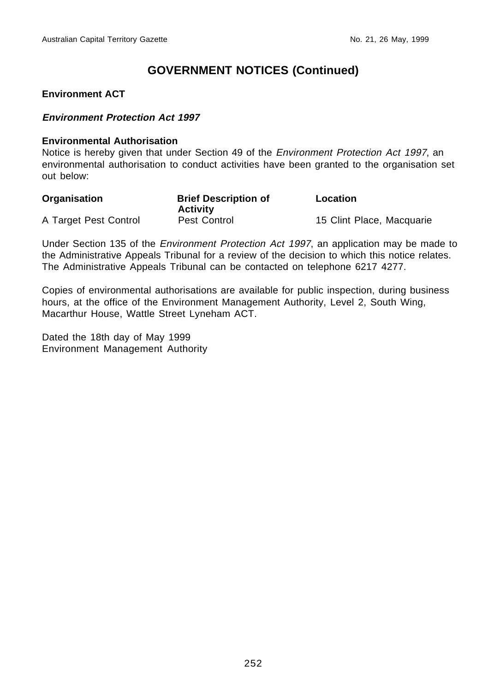## **GOVERNMENT NOTICES (Continued)**

#### **Environment ACT**

#### **Environment Protection Act 1997**

#### **Environmental Authorisation**

Notice is hereby given that under Section 49 of the *Environment Protection Act 1997*, an environmental authorisation to conduct activities have been granted to the organisation set out below:

| Organisation          | <b>Brief Description of</b><br><b>Activity</b> | Location                  |
|-----------------------|------------------------------------------------|---------------------------|
| A Target Pest Control | Pest Control                                   | 15 Clint Place, Macquarie |

Under Section 135 of the Environment Protection Act 1997, an application may be made to the Administrative Appeals Tribunal for a review of the decision to which this notice relates. The Administrative Appeals Tribunal can be contacted on telephone 6217 4277.

Copies of environmental authorisations are available for public inspection, during business hours, at the office of the Environment Management Authority, Level 2, South Wing, Macarthur House, Wattle Street Lyneham ACT.

Dated the 18th day of May 1999 Environment Management Authority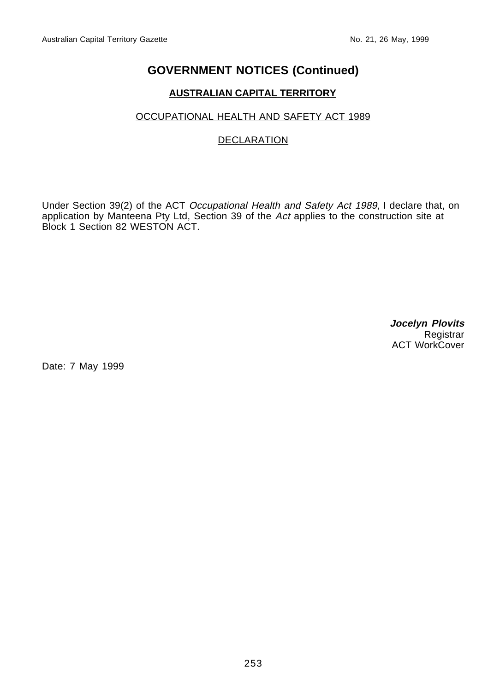# **GOVERNMENT NOTICES (Continued)**

## **AUSTRALIAN CAPITAL TERRITORY**

## OCCUPATIONAL HEALTH AND SAFETY ACT 1989

## DECLARATION

Under Section 39(2) of the ACT Occupational Health and Safety Act 1989, I declare that, on application by Manteena Pty Ltd, Section 39 of the Act applies to the construction site at Block 1 Section 82 WESTON ACT.

> **Jocelyn Plovits Registrar** ACT WorkCover

Date: 7 May 1999